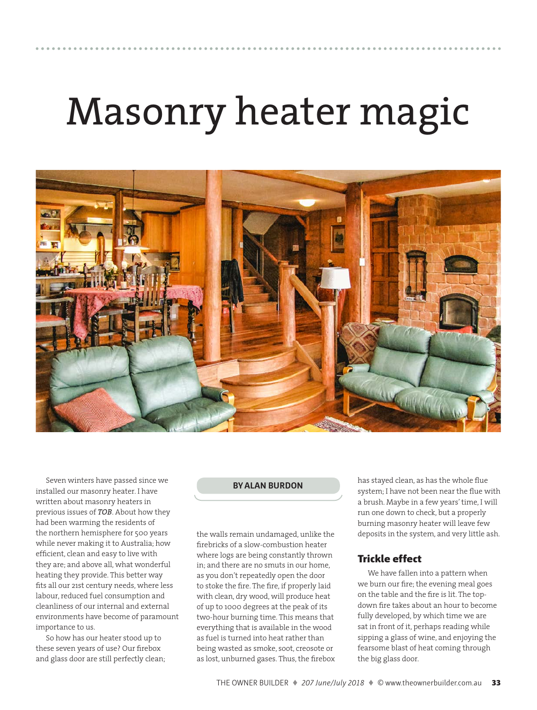# Masonry heater magic



Seven winters have passed since we installed our masonry heater. I have written about masonry heaters in previous issues of *TOB*. About how they had been warming the residents of the northern hemisphere for 500 years while never making it to Australia; how efficient, clean and easy to live with they are; and above all, what wonderful heating they provide. This better way fits all our 21st century needs, where less labour, reduced fuel consumption and cleanliness of our internal and external environments have become of paramount importance to us.

So how has our heater stood up to these seven years of use? Our firebox and glass door are still perfectly clean;

#### **BY ALAN BURDON**

the walls remain undamaged, unlike the firebricks of a slow-combustion heater where logs are being constantly thrown in; and there are no smuts in our home, as you don't repeatedly open the door to stoke the fire. The fire, if properly laid with clean, dry wood, will produce heat of up to 1000 degrees at the peak of its two-hour burning time. This means that everything that is available in the wood as fuel is turned into heat rather than being wasted as smoke, soot, creosote or as lost, unburned gases. Thus, the firebox has stayed clean, as has the whole flue system; I have not been near the flue with a brush. Maybe in a few years' time, I will run one down to check, but a properly burning masonry heater will leave few deposits in the system, and very little ash.

## Trickle effect

We have fallen into a pattern when we burn our fire; the evening meal goes on the table and the fire is lit. The topdown fire takes about an hour to become fully developed, by which time we are sat in front of it, perhaps reading while sipping a glass of wine, and enjoying the fearsome blast of heat coming through the big glass door.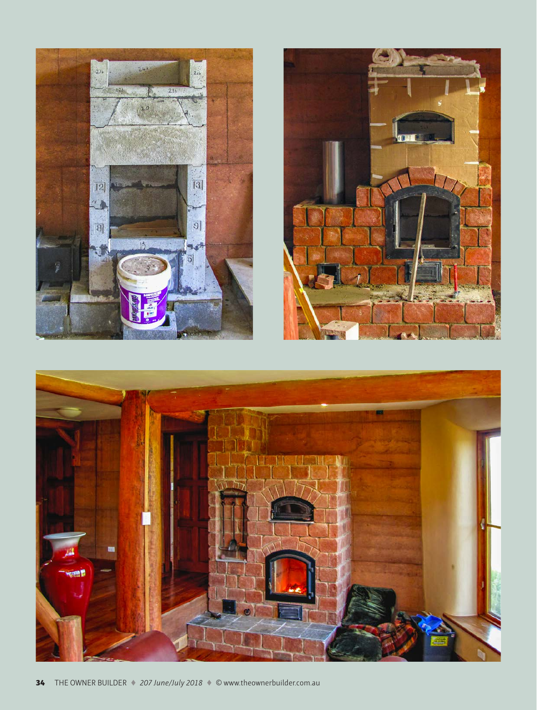